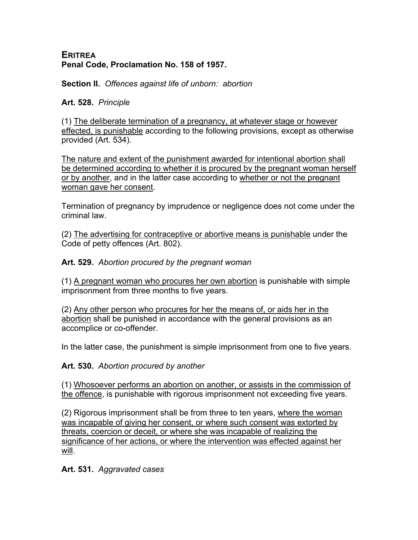#### **ERITREA Penal Code, Proclamation No. 158 of 1957.**

**Section II.** *Offences against life of unborn: abortion*

**Art. 528.** *Principle*

(1) The deliberate termination of a pregnancy, at whatever stage or however effected, is punishable according to the following provisions, except as otherwise provided (Art. 534).

The nature and extent of the punishment awarded for intentional abortion shall be determined according to whether it is procured by the pregnant woman herself or by another, and in the latter case according to whether or not the pregnant woman gave her consent.

Termination of pregnancy by imprudence or negligence does not come under the criminal law.

(2) The advertising for contraceptive or abortive means is punishable under the Code of petty offences (Art. 802).

**Art. 529.** *Abortion procured by the pregnant woman*

(1) A pregnant woman who procures her own abortion is punishable with simple imprisonment from three months to five years.

(2) Any other person who procures for her the means of, or aids her in the abortion shall be punished in accordance with the general provisions as an accomplice or co-offender.

In the latter case, the punishment is simple imprisonment from one to five years.

**Art. 530.** *Abortion procured by another*

(1) Whosoever performs an abortion on another, or assists in the commission of the offence, is punishable with rigorous imprisonment not exceeding five years.

(2) Rigorous imprisonment shall be from three to ten years, where the woman was incapable of giving her consent, or where such consent was extorted by threats, coercion or deceit, or where she was incapable of realizing the significance of her actions, or where the intervention was effected against her will.

**Art. 531.** *Aggravated cases*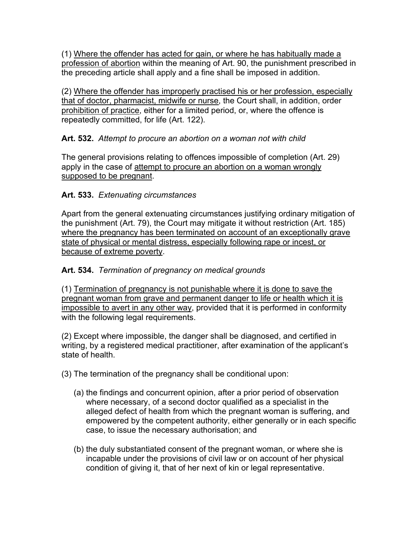(1) Where the offender has acted for gain, or where he has habitually made a profession of abortion within the meaning of Art. 90, the punishment prescribed in the preceding article shall apply and a fine shall be imposed in addition.

(2) Where the offender has improperly practised his or her profession, especially that of doctor, pharmacist, midwife or nurse, the Court shall, in addition, order prohibition of practice, either for a limited period, or, where the offence is repeatedly committed, for life (Art. 122).

# **Art. 532.** *Attempt to procure an abortion on a woman not with child*

The general provisions relating to offences impossible of completion (Art. 29) apply in the case of attempt to procure an abortion on a woman wrongly supposed to be pregnant.

# **Art. 533.** *Extenuating circumstances*

Apart from the general extenuating circumstances justifying ordinary mitigation of the punishment (Art. 79), the Court may mitigate it without restriction (Art. 185) where the pregnancy has been terminated on account of an exceptionally grave state of physical or mental distress, especially following rape or incest, or because of extreme poverty.

## **Art. 534.** *Termination of pregnancy on medical grounds*

(1) Termination of pregnancy is not punishable where it is done to save the pregnant woman from grave and permanent danger to life or health which it is impossible to avert in any other way, provided that it is performed in conformity with the following legal requirements.

(2) Except where impossible, the danger shall be diagnosed, and certified in writing, by a registered medical practitioner, after examination of the applicant's state of health.

- (3) The termination of the pregnancy shall be conditional upon:
	- (a) the findings and concurrent opinion, after a prior period of observation where necessary, of a second doctor qualified as a specialist in the alleged defect of health from which the pregnant woman is suffering, and empowered by the competent authority, either generally or in each specific case, to issue the necessary authorisation; and
	- (b) the duly substantiated consent of the pregnant woman, or where she is incapable under the provisions of civil law or on account of her physical condition of giving it, that of her next of kin or legal representative.